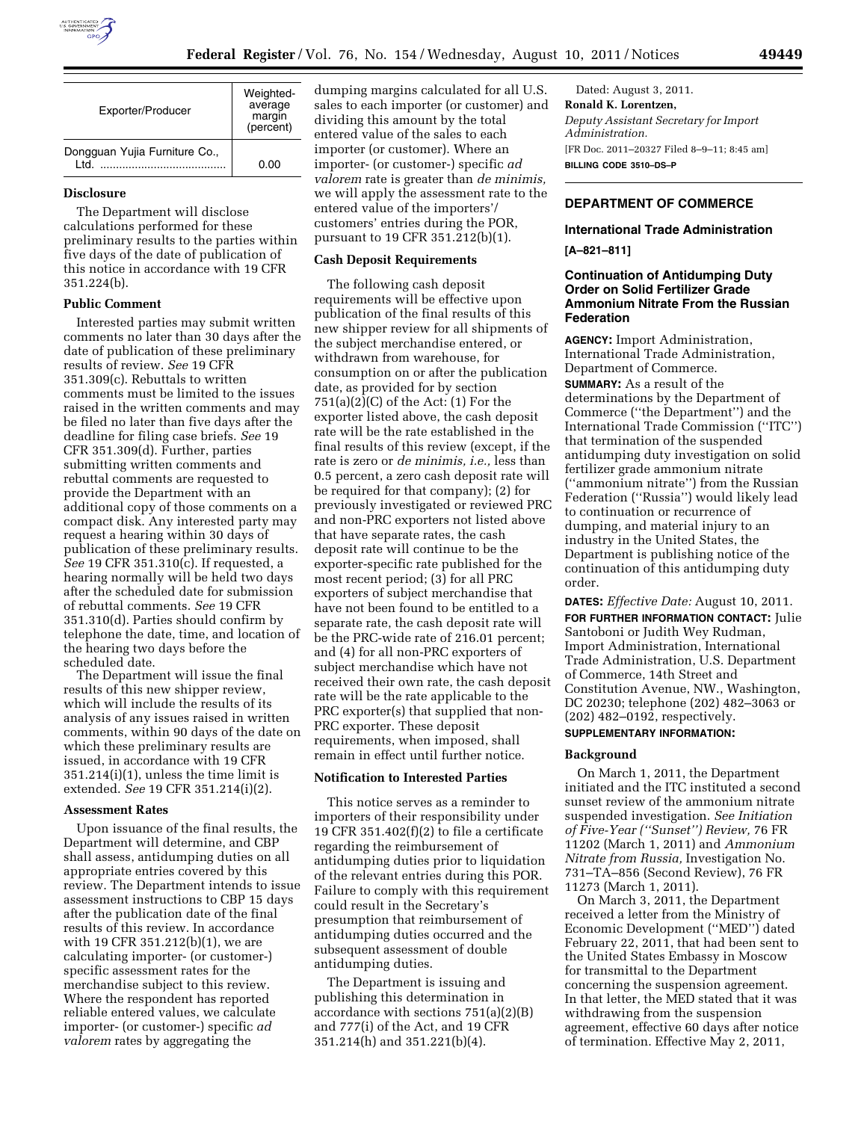

| Exporter/Producer                     | Weighted-<br>average<br>margin<br>(percent) |
|---------------------------------------|---------------------------------------------|
| Dongguan Yujia Furniture Co.,<br>ht I | 0.OO                                        |

#### **Disclosure**

The Department will disclose calculations performed for these preliminary results to the parties within five days of the date of publication of this notice in accordance with 19 CFR 351.224(b).

#### **Public Comment**

Interested parties may submit written comments no later than 30 days after the date of publication of these preliminary results of review. *See* 19 CFR 351.309(c). Rebuttals to written comments must be limited to the issues raised in the written comments and may be filed no later than five days after the deadline for filing case briefs. *See* 19 CFR 351.309(d). Further, parties submitting written comments and rebuttal comments are requested to provide the Department with an additional copy of those comments on a compact disk. Any interested party may request a hearing within 30 days of publication of these preliminary results. *See* 19 CFR 351.310(c). If requested, a hearing normally will be held two days after the scheduled date for submission of rebuttal comments. *See* 19 CFR 351.310(d). Parties should confirm by telephone the date, time, and location of the hearing two days before the scheduled date.

The Department will issue the final results of this new shipper review, which will include the results of its analysis of any issues raised in written comments, within 90 days of the date on which these preliminary results are issued, in accordance with 19 CFR 351.214(i)(1), unless the time limit is extended. *See* 19 CFR 351.214(i)(2).

#### **Assessment Rates**

Upon issuance of the final results, the Department will determine, and CBP shall assess, antidumping duties on all appropriate entries covered by this review. The Department intends to issue assessment instructions to CBP 15 days after the publication date of the final results of this review. In accordance with 19 CFR 351.212(b)(1), we are calculating importer- (or customer-) specific assessment rates for the merchandise subject to this review. Where the respondent has reported reliable entered values, we calculate importer- (or customer-) specific *ad valorem* rates by aggregating the

dumping margins calculated for all U.S. sales to each importer (or customer) and dividing this amount by the total entered value of the sales to each importer (or customer). Where an importer- (or customer-) specific *ad valorem* rate is greater than *de minimis,*  we will apply the assessment rate to the entered value of the importers'/ customers' entries during the POR, pursuant to 19 CFR 351.212(b)(1).

#### **Cash Deposit Requirements**

The following cash deposit requirements will be effective upon publication of the final results of this new shipper review for all shipments of the subject merchandise entered, or withdrawn from warehouse, for consumption on or after the publication date, as provided for by section  $751(a)(2)(C)$  of the Act:  $(1)$  For the exporter listed above, the cash deposit rate will be the rate established in the final results of this review (except, if the rate is zero or *de minimis, i.e.,* less than 0.5 percent, a zero cash deposit rate will be required for that company); (2) for previously investigated or reviewed PRC and non-PRC exporters not listed above that have separate rates, the cash deposit rate will continue to be the exporter-specific rate published for the most recent period; (3) for all PRC exporters of subject merchandise that have not been found to be entitled to a separate rate, the cash deposit rate will be the PRC-wide rate of 216.01 percent; and (4) for all non-PRC exporters of subject merchandise which have not received their own rate, the cash deposit rate will be the rate applicable to the PRC exporter(s) that supplied that non-PRC exporter. These deposit requirements, when imposed, shall remain in effect until further notice.

## **Notification to Interested Parties**

This notice serves as a reminder to importers of their responsibility under 19 CFR 351.402 $(f)(2)$  to file a certificate regarding the reimbursement of antidumping duties prior to liquidation of the relevant entries during this POR. Failure to comply with this requirement could result in the Secretary's presumption that reimbursement of antidumping duties occurred and the subsequent assessment of double antidumping duties.

The Department is issuing and publishing this determination in accordance with sections 751(a)(2)(B) and 777(i) of the Act, and 19 CFR 351.214(h) and 351.221(b)(4).

Dated: August 3, 2011. **Ronald K. Lorentzen,**  *Deputy Assistant Secretary for Import Administration.*  [FR Doc. 2011–20327 Filed 8–9–11; 8:45 am] **BILLING CODE 3510–DS–P** 

## **DEPARTMENT OF COMMERCE**

### **International Trade Administration**

**[A–821–811]** 

### **Continuation of Antidumping Duty Order on Solid Fertilizer Grade Ammonium Nitrate From the Russian Federation**

**AGENCY:** Import Administration, International Trade Administration, Department of Commerce.

**SUMMARY:** As a result of the determinations by the Department of Commerce (''the Department'') and the International Trade Commission (''ITC'') that termination of the suspended antidumping duty investigation on solid fertilizer grade ammonium nitrate (''ammonium nitrate'') from the Russian Federation (''Russia'') would likely lead to continuation or recurrence of dumping, and material injury to an industry in the United States, the Department is publishing notice of the continuation of this antidumping duty order.

**DATES:** *Effective Date:* August 10, 2011. **FOR FURTHER INFORMATION CONTACT:** Julie Santoboni or Judith Wey Rudman, Import Administration, International Trade Administration, U.S. Department of Commerce, 14th Street and Constitution Avenue, NW., Washington, DC 20230; telephone (202) 482–3063 or (202) 482–0192, respectively.

# **SUPPLEMENTARY INFORMATION:**

### **Background**

On March 1, 2011, the Department initiated and the ITC instituted a second sunset review of the ammonium nitrate suspended investigation. *See Initiation of Five-Year (''Sunset'') Review,* 76 FR 11202 (March 1, 2011) and *Ammonium Nitrate from Russia,* Investigation No. 731–TA–856 (Second Review), 76 FR 11273 (March 1, 2011).

On March 3, 2011, the Department received a letter from the Ministry of Economic Development (''MED'') dated February 22, 2011, that had been sent to the United States Embassy in Moscow for transmittal to the Department concerning the suspension agreement. In that letter, the MED stated that it was withdrawing from the suspension agreement, effective 60 days after notice of termination. Effective May 2, 2011,